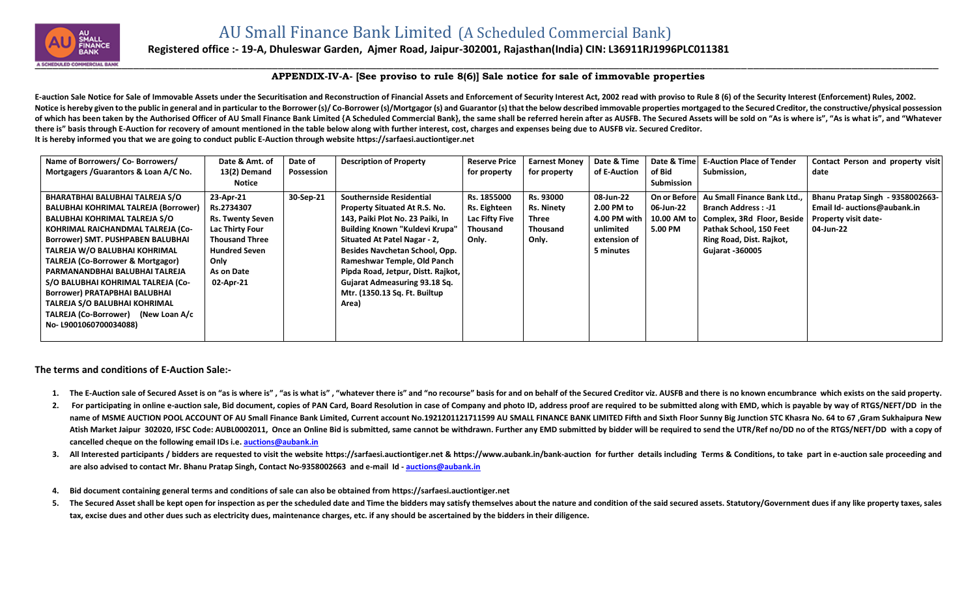

## **Registered office :- 19-A, Dhuleswar Garden, Ajmer Road, Jaipur-302001, Rajasthan(India) CIN: L36911RJ1996PLC011381**

## **APPENDIX-IV-A- [See proviso to rule 8(6)] Sale notice for sale of immovable properties**

E-auction Sale Notice for Sale of Immovable Assets under the Securitisation and Reconstruction of Financial Assets and Enforcement of Security Interest Act, 2002 read with proviso to Rule 8 (6) of the Security Interest (En Notice is hereby given to the public in general and in particular to the Borrower (s)/Co-Borrower (s)/Mortgagor (s) and Guarantor (s) that the below described immovable properties mortgaged to the Secured Creditor, the con of which has been taken by the Authorised Officer of AU Small Finance Bank Limited {A Scheduled Commercial Bank}, the same shall be referred herein after as AUSFB. The Secured Assets will be sold on "As is where is". "As i **there is" basis through E-Auction for recovery of amount mentioned in the table below along with further interest, cost, charges and expenses being due to AUSFB viz. Secured Creditor. It is hereby informed you that we are going to conduct public E-Auction through website [https://sarfaesi.auctiontiger.net](https://sarfaesi.auctiontiger.net/)** 

| Name of Borrowers/ Co- Borrowers/            | Date & Amt. of          | Date of    | <b>Description of Property</b>       | <b>Reserve Price</b> | <b>Earnest Money</b> | Date & Time  |              | Date & Time   E-Auction Place of Tender | Contact Person and property visit |
|----------------------------------------------|-------------------------|------------|--------------------------------------|----------------------|----------------------|--------------|--------------|-----------------------------------------|-----------------------------------|
| Mortgagers / Guarantors & Loan A/C No.       | 13(2) Demand            | Possession |                                      | for property         | for property         | of E-Auction | of Bid       | Submission,                             | date                              |
|                                              | Notice                  |            |                                      |                      |                      |              | Submission   |                                         |                                   |
| <b>BHARATBHAI BALUBHAI TALREJA S/O</b>       | 23-Apr-21               | 30-Sep-21  | <b>Southernside Residential</b>      | Rs. 1855000          | Rs. 93000            | 08-Jun-22    | On or Before | Au Small Finance Bank Ltd.,             | Bhanu Pratap Singh - 9358002663-  |
| <b>BALUBHAI KOHRIMAL TALREJA (Borrower)</b>  | Rs.2734307              |            | <b>Property Situated At R.S. No.</b> | Rs. Eighteen         | <b>Rs. Ninety</b>    | 2.00 PM to   | 06-Jun-22    | <b>Branch Address: -J1</b>              | Email Id- auctions@aubank.in      |
| <b>BALUBHAI KOHRIMAL TALREJA S/O</b>         | <b>Rs. Twenty Seven</b> |            | 143, Paiki Plot No. 23 Paiki, In     | Lac Fifty Five       | Three                | 4.00 PM with | 10.00 AM to  | Complex, 3Rd Floor, Beside              | Property visit date-              |
| KOHRIMAL RAICHANDMAL TALREJA (Co-            | <b>Lac Thirty Four</b>  |            | Building Known "Kuldevi Krupa"       | Thousand             | <b>Thousand</b>      | unlimited    | 5.00 PM      | Pathak School, 150 Feet                 | 04-Jun-22                         |
| <b>Borrower) SMT. PUSHPABEN BALUBHAI</b>     | <b>Thousand Three</b>   |            | Situated At Patel Nagar - 2,         | Only.                | Only.                | extension of |              | Ring Road, Dist. Rajkot,                |                                   |
| TALREJA W/O BALUBHAI KOHRIMAL                | <b>Hundred Seven</b>    |            | Besides Navchetan School, Opp.       |                      |                      | 5 minutes    |              | <b>Gujarat -360005</b>                  |                                   |
| <b>TALREJA (Co-Borrower &amp; Mortgagor)</b> | Only                    |            | Rameshwar Temple, Old Panch          |                      |                      |              |              |                                         |                                   |
| PARMANANDBHAI BALUBHAI TALREJA               | As on Date              |            | Pipda Road, Jetpur, Distt. Rajkot,   |                      |                      |              |              |                                         |                                   |
| S/O BALUBHAI KOHRIMAL TALREJA (Co-           | 02-Apr-21               |            | Gujarat Admeasuring 93.18 Sq.        |                      |                      |              |              |                                         |                                   |
| <b>Borrower) PRATAPBHAI BALUBHAI</b>         |                         |            | Mtr. (1350.13 Sq. Ft. Builtup        |                      |                      |              |              |                                         |                                   |
| <b>TALREJA S/O BALUBHAI KOHRIMAL</b>         |                         |            | Area)                                |                      |                      |              |              |                                         |                                   |
| TALREJA (Co-Borrower) (New Loan A/c          |                         |            |                                      |                      |                      |              |              |                                         |                                   |
| No-L9001060700034088)                        |                         |            |                                      |                      |                      |              |              |                                         |                                   |
|                                              |                         |            |                                      |                      |                      |              |              |                                         |                                   |

**The terms and conditions of E-Auction Sale:-**

- 1. The E-Auction sale of Secured Asset is on "as is where is", "as is what is", "whatever there is" and "no recourse" basis for and on behalf of the Secured Creditor viz. AUSFB and there is no known encumbrance which exist
- 2. For participating in online e-auction sale, Bid document, copies of PAN Card, Board Resolution in case of Company and photo ID, address proof are required to be submitted along with EMD, which is payable by way of RTGS/ name of MSME AUCTION POOL ACCOUNT OF AU Small Finance Bank Limited, Current account No.1921201121711599 AU SMALL FINANCE BANK LIMITED Fifth and Sixth Floor Sunny Big Junction STC Khasra No. 64 to 67, Gram Sukhaipura New Atish Market Jaipur 302020, IFSC Code: AUBL0002011, Once an Online Bid is submitted, same cannot be withdrawn. Further any EMD submitted by bidder will be required to send the UTR/Ref no/DD no of the RTGS/NEFT/DD with a co **cancelled cheque on the following email IDs i.e. [auctions@aubank.in](mailto:auctions@aubank.in)**
- 3. All Interested participants / bidders are requested to visit the website [https://sarfaesi.auctiontiger.net](https://sarfaesi.auctiontiger.net/) & https://www.aubank.in/bank-auction for further details including Terms & Conditions, to take part in e-auction **are also advised to contact Mr. Bhanu Pratap Singh, Contact No-9358002663 and e-mail Id - [auctions@aubank.in](mailto:auctions@aubank.in)**
- **4. Bid document containing general terms and conditions of sale can also be obtained fro[m https://sarfaesi.auctiontiger.net](https://edelweissarc.auctiontiger.net/)**
- 5. The Secured Asset shall be kept open for inspection as per the scheduled date and Time the bidders may satisfy themselves about the nature and condition of the said secured assets. Statutory/Government dues if any like **tax, excise dues and other dues such as electricity dues, maintenance charges, etc. if any should be ascertained by the bidders in their diligence.**